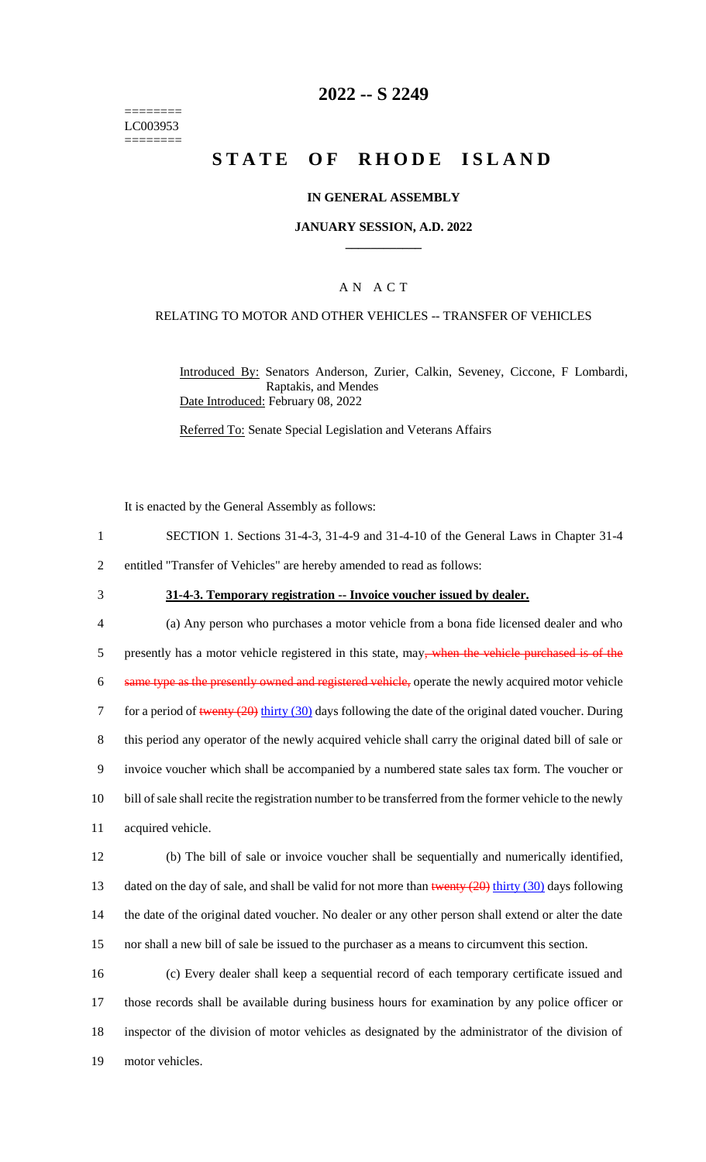======== LC003953 ========

# **2022 -- S 2249**

# **STATE OF RHODE ISLAND**

### **IN GENERAL ASSEMBLY**

#### **JANUARY SESSION, A.D. 2022 \_\_\_\_\_\_\_\_\_\_\_\_**

### A N A C T

#### RELATING TO MOTOR AND OTHER VEHICLES -- TRANSFER OF VEHICLES

Introduced By: Senators Anderson, Zurier, Calkin, Seveney, Ciccone, F Lombardi, Raptakis, and Mendes Date Introduced: February 08, 2022

Referred To: Senate Special Legislation and Veterans Affairs

It is enacted by the General Assembly as follows:

- 1 SECTION 1. Sections 31-4-3, 31-4-9 and 31-4-10 of the General Laws in Chapter 31-4
- 2 entitled "Transfer of Vehicles" are hereby amended to read as follows:
- 

#### 3 **31-4-3. Temporary registration -- Invoice voucher issued by dealer.**

 (a) Any person who purchases a motor vehicle from a bona fide licensed dealer and who 5 presently has a motor vehicle registered in this state, may<del>, when the vehicle purchased is of the</del> same type as the presently owned and registered vehicle, operate the newly acquired motor vehicle 7 for a period of twenty (20) thirty (30) days following the date of the original dated voucher. During this period any operator of the newly acquired vehicle shall carry the original dated bill of sale or invoice voucher which shall be accompanied by a numbered state sales tax form. The voucher or bill of sale shall recite the registration number to be transferred from the former vehicle to the newly acquired vehicle. (b) The bill of sale or invoice voucher shall be sequentially and numerically identified, 13 dated on the day of sale, and shall be valid for not more than twenty  $(20)$  thirty  $(30)$  days following

14 the date of the original dated voucher. No dealer or any other person shall extend or alter the date 15 nor shall a new bill of sale be issued to the purchaser as a means to circumvent this section.

 (c) Every dealer shall keep a sequential record of each temporary certificate issued and those records shall be available during business hours for examination by any police officer or inspector of the division of motor vehicles as designated by the administrator of the division of motor vehicles.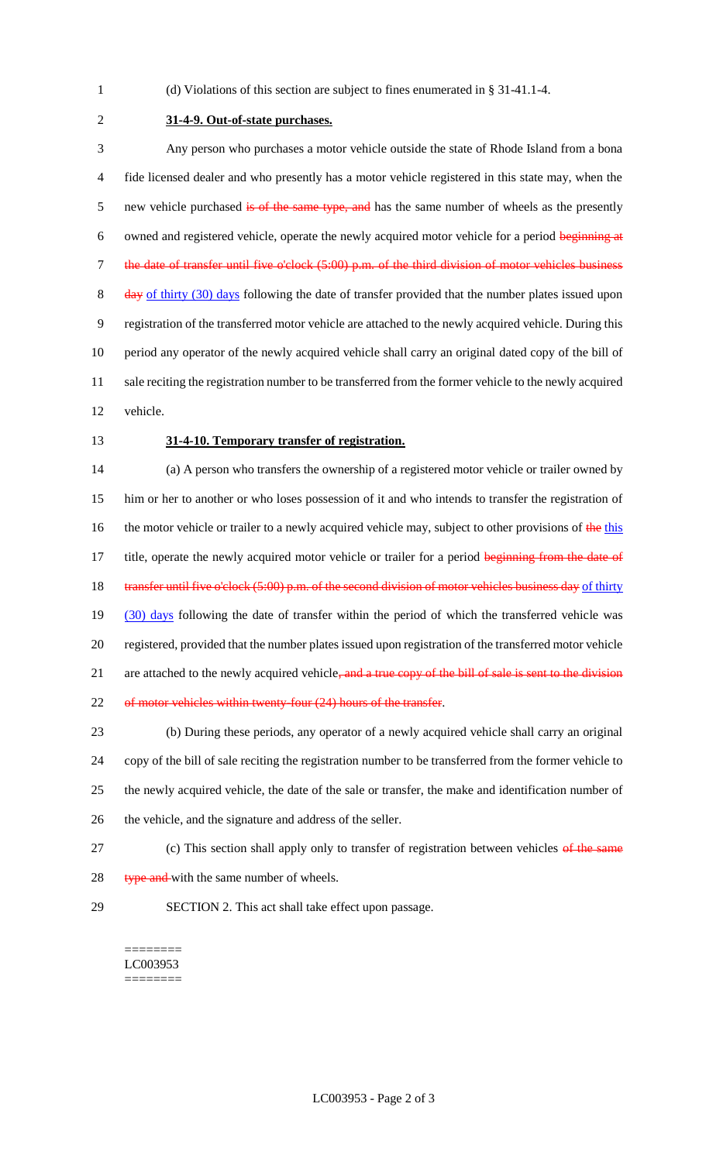1 (d) Violations of this section are subject to fines enumerated in § 31-41.1-4.

2 **31-4-9. Out-of-state purchases.**

3 Any person who purchases a motor vehicle outside the state of Rhode Island from a bona 4 fide licensed dealer and who presently has a motor vehicle registered in this state may, when the 5 new vehicle purchased is of the same type, and has the same number of wheels as the presently 6 owned and registered vehicle, operate the newly acquired motor vehicle for a period beginning at 7 the date of transfer until five o'clock (5:00) p.m. of the third division of motor vehicles business 8 day of thirty (30) days following the date of transfer provided that the number plates issued upon 9 registration of the transferred motor vehicle are attached to the newly acquired vehicle. During this 10 period any operator of the newly acquired vehicle shall carry an original dated copy of the bill of 11 sale reciting the registration number to be transferred from the former vehicle to the newly acquired 12 vehicle.

#### 13 **31-4-10. Temporary transfer of registration.**

14 (a) A person who transfers the ownership of a registered motor vehicle or trailer owned by 15 him or her to another or who loses possession of it and who intends to transfer the registration of 16 the motor vehicle or trailer to a newly acquired vehicle may, subject to other provisions of the this 17 title, operate the newly acquired motor vehicle or trailer for a period beginning from the date of 18 transfer until five o'clock (5:00) p.m. of the second division of motor vehicles business day of thirty 19 (30) days following the date of transfer within the period of which the transferred vehicle was 20 registered, provided that the number plates issued upon registration of the transferred motor vehicle 21 are attached to the newly acquired vehicle, and a true copy of the bill of sale is sent to the division 22 of motor vehicles within twenty-four (24) hours of the transfer.

 (b) During these periods, any operator of a newly acquired vehicle shall carry an original copy of the bill of sale reciting the registration number to be transferred from the former vehicle to the newly acquired vehicle, the date of the sale or transfer, the make and identification number of the vehicle, and the signature and address of the seller.

- 27 (c) This section shall apply only to transfer of registration between vehicles of the same
- 28 type and with the same number of wheels.
- 

29 SECTION 2. This act shall take effect upon passage.

======== LC003953 ========